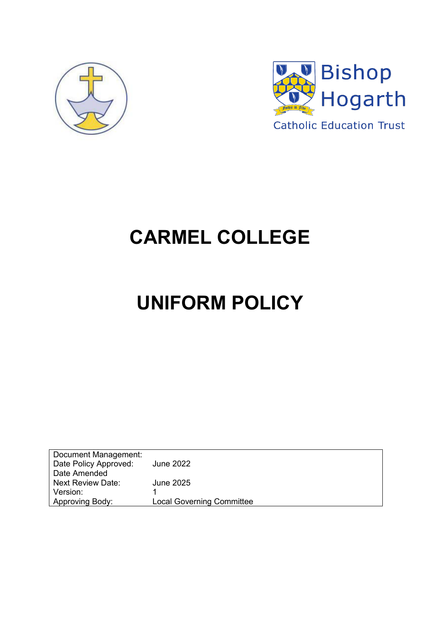



## **CARMEL COLLEGE**

# **UNIFORM POLICY**

| Document Management:     |                                  |
|--------------------------|----------------------------------|
| Date Policy Approved:    | <b>June 2022</b>                 |
| Date Amended             |                                  |
| <b>Next Review Date:</b> | June 2025                        |
| Version:                 |                                  |
| Approving Body:          | <b>Local Governing Committee</b> |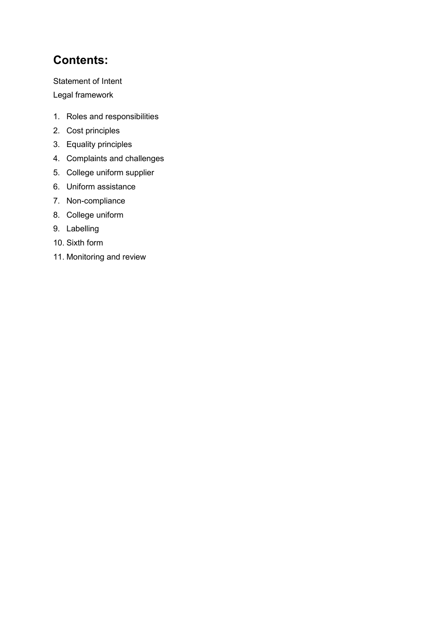## **Contents:**

Statement of Intent

Legal framework

- 1. Roles and responsibilities
- 2. Cost principles
- 3. Equality principles
- 4. Complaints and challenges
- 5. College uniform supplier
- 6. Uniform assistance
- 7. Non-compliance
- 8. College uniform
- 9. Labelling
- 10. Sixth form
- 11. Monitoring and review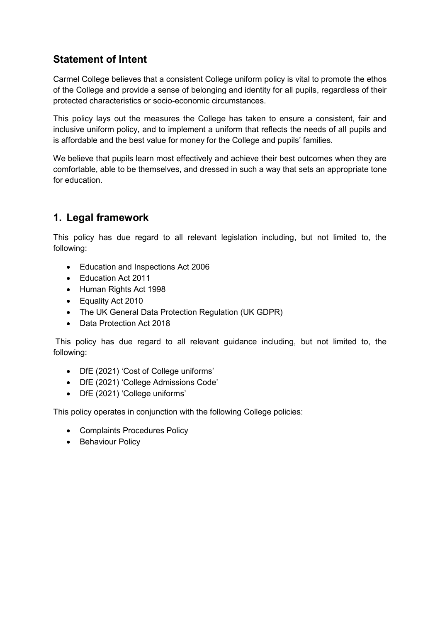## **Statement of Intent**

Carmel College believes that a consistent College uniform policy is vital to promote the ethos of the College and provide a sense of belonging and identity for all pupils, regardless of their protected characteristics or socio-economic circumstances.

This policy lays out the measures the College has taken to ensure a consistent, fair and inclusive uniform policy, and to implement a uniform that reflects the needs of all pupils and is affordable and the best value for money for the College and pupils' families.

We believe that pupils learn most effectively and achieve their best outcomes when they are comfortable, able to be themselves, and dressed in such a way that sets an appropriate tone for education.

## **1. Legal framework**

This policy has due regard to all relevant legislation including, but not limited to, the following:

- Education and Inspections Act 2006
- Education Act 2011
- Human Rights Act 1998
- Equality Act 2010
- The UK General Data Protection Regulation (UK GDPR)
- Data Protection Act 2018

This policy has due regard to all relevant guidance including, but not limited to, the following:

- DfE (2021) 'Cost of College uniforms'
- DfE (2021) 'College Admissions Code'
- DfE (2021) 'College uniforms'

This policy operates in conjunction with the following College policies:

- Complaints Procedures Policy
- Behaviour Policy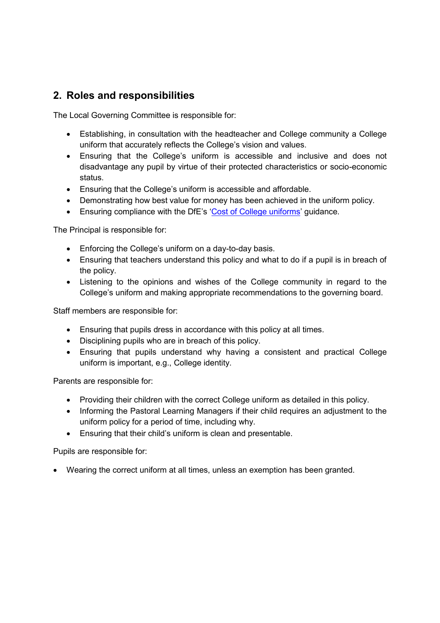## **2. Roles and responsibilities**

The Local Governing Committee is responsible for:

- Establishing, in consultation with the headteacher and College community a College uniform that accurately reflects the College's vision and values.
- Ensuring that the College's uniform is accessible and inclusive and does not disadvantage any pupil by virtue of their protected characteristics or socio-economic status.
- Ensuring that the College's uniform is accessible and affordable.
- Demonstrating how best value for money has been achieved in the uniform policy.
- Ensuring compliance with the DfE's '[Cost of College uniforms](https://www.gov.uk/government/publications/cost-of-school-uniforms/cost-of-school-uniforms)' guidance.

The Principal is responsible for:

- Enforcing the College's uniform on a day-to-day basis.
- Ensuring that teachers understand this policy and what to do if a pupil is in breach of the policy.
- Listening to the opinions and wishes of the College community in regard to the College's uniform and making appropriate recommendations to the governing board.

Staff members are responsible for:

- Ensuring that pupils dress in accordance with this policy at all times.
- Disciplining pupils who are in breach of this policy.
- Ensuring that pupils understand why having a consistent and practical College uniform is important, e.g., College identity.

Parents are responsible for:

- Providing their children with the correct College uniform as detailed in this policy.
- Informing the Pastoral Learning Managers if their child requires an adjustment to the uniform policy for a period of time, including why.
- Ensuring that their child's uniform is clean and presentable.

Pupils are responsible for:

Wearing the correct uniform at all times, unless an exemption has been granted.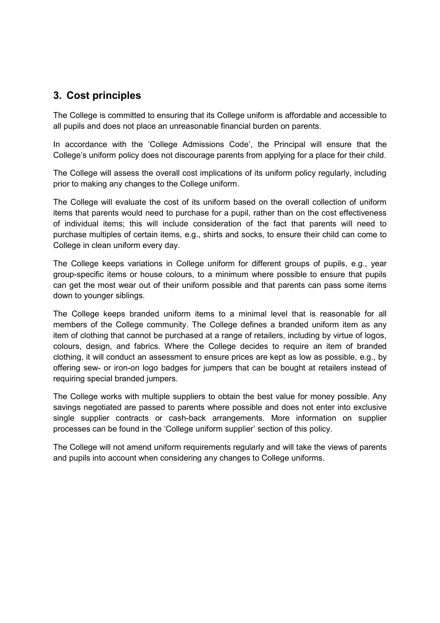## **3. Cost principles**

The College is committed to ensuring that its College uniform is affordable and accessible to all pupils and does not place an unreasonable financial burden on parents.

In accordance with the 'College Admissions Code', the Principal will ensure that the College's uniform policy does not discourage parents from applying for a place for their child.

The College will assess the overall cost implications of its uniform policy regularly, including prior to making any changes to the College uniform.

The College will evaluate the cost of its uniform based on the overall collection of uniform items that parents would need to purchase for a pupil, rather than on the cost effectiveness of individual items; this will include consideration of the fact that parents will need to purchase multiples of certain items, e.g., shirts and socks, to ensure their child can come to College in clean uniform every day.

The College keeps variations in College uniform for different groups of pupils, e.g., year group-specific items or house colours, to a minimum where possible to ensure that pupils can get the most wear out of their uniform possible and that parents can pass some items down to younger siblings.

The College keeps branded uniform items to a minimal level that is reasonable for all members of the College community. The College defines a branded uniform item as any item of clothing that cannot be purchased at a range of retailers, including by virtue of logos, colours, design, and fabrics. Where the College decides to require an item of branded clothing, it will conduct an assessment to ensure prices are kept as low as possible, e.g., by offering sew- or iron-on logo badges for jumpers that can be bought at retailers instead of requiring special branded jumpers.

The College works with multiple suppliers to obtain the best value for money possible. Any savings negotiated are passed to parents where possible and does not enter into exclusive single supplier contracts or cash-back arrangements. More information on supplier processes can be found in the 'College uniform supplier' section of this policy.

The College will not amend uniform requirements regularly and will take the views of parents and pupils into account when considering any changes to College uniforms.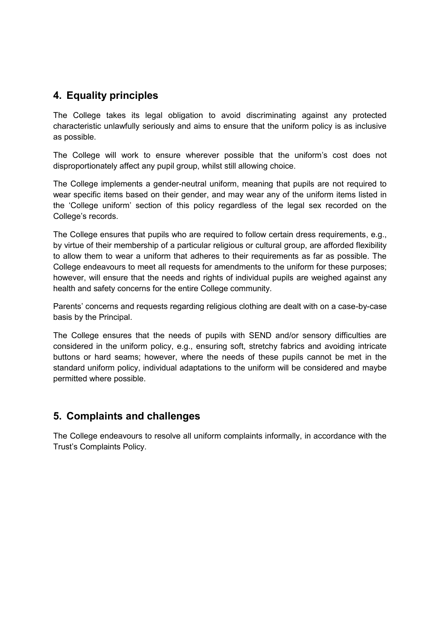## **4. Equality principles**

The College takes its legal obligation to avoid discriminating against any protected characteristic unlawfully seriously and aims to ensure that the uniform policy is as inclusive as possible.

The College will work to ensure wherever possible that the uniform's cost does not disproportionately affect any pupil group, whilst still allowing choice.

The College implements a gender-neutral uniform, meaning that pupils are not required to wear specific items based on their gender, and may wear any of the uniform items listed in the 'College uniform' section of this policy regardless of the legal sex recorded on the College's records.

The College ensures that pupils who are required to follow certain dress requirements, e.g., by virtue of their membership of a particular religious or cultural group, are afforded flexibility to allow them to wear a uniform that adheres to their requirements as far as possible. The College endeavours to meet all requests for amendments to the uniform for these purposes; however, will ensure that the needs and rights of individual pupils are weighed against any health and safety concerns for the entire College community.

Parents' concerns and requests regarding religious clothing are dealt with on a case-by-case basis by the Principal.

The College ensures that the needs of pupils with SEND and/or sensory difficulties are considered in the uniform policy, e.g., ensuring soft, stretchy fabrics and avoiding intricate buttons or hard seams; however, where the needs of these pupils cannot be met in the standard uniform policy, individual adaptations to the uniform will be considered and maybe permitted where possible.

## **5. Complaints and challenges**

The College endeavours to resolve all uniform complaints informally, in accordance with the Trust's Complaints Policy.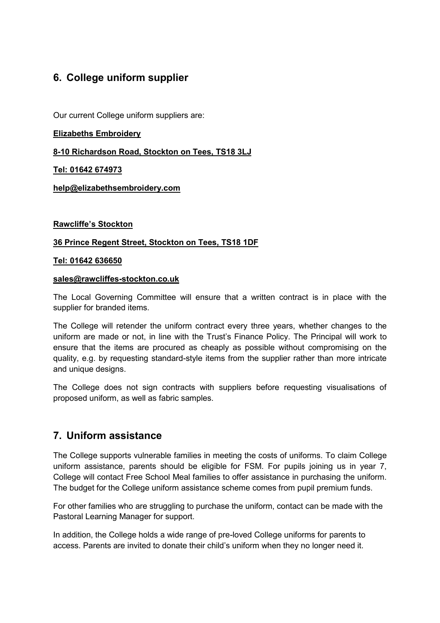## **6. College uniform supplier**

Our current College uniform suppliers are:

#### **Elizabeths Embroidery**

**8-10 Richardson Road, Stockton on Tees, TS18 3LJ** 

**Tel: 01642 674973** 

**[help@elizabethsembroidery.com](mailto:help@elizabethsembroidery.com)**

#### **Rawcliffe's Stockton**

#### **36 Prince Regent Street, Stockton on Tees, TS18 1DF**

#### **Tel: 01642 636650**

#### **[sales@rawcliffes-stockton.co.uk](mailto:Sales@rawcliffes-stockton.co.uk)**

The Local Governing Committee will ensure that a written contract is in place with the supplier for branded items.

The College will retender the uniform contract every three years, whether changes to the uniform are made or not, in line with the Trust's Finance Policy. The Principal will work to ensure that the items are procured as cheaply as possible without compromising on the quality, e.g. by requesting standard-style items from the supplier rather than more intricate and unique designs.

The College does not sign contracts with suppliers before requesting visualisations of proposed uniform, as well as fabric samples.

## **7. Uniform assistance**

The College supports vulnerable families in meeting the costs of uniforms. To claim College uniform assistance, parents should be eligible for FSM. For pupils joining us in year 7, College will contact Free School Meal families to offer assistance in purchasing the uniform. The budget for the College uniform assistance scheme comes from pupil premium funds.

For other families who are struggling to purchase the uniform, contact can be made with the Pastoral Learning Manager for support.

In addition, the College holds a wide range of pre-loved College uniforms for parents to access. Parents are invited to donate their child's uniform when they no longer need it.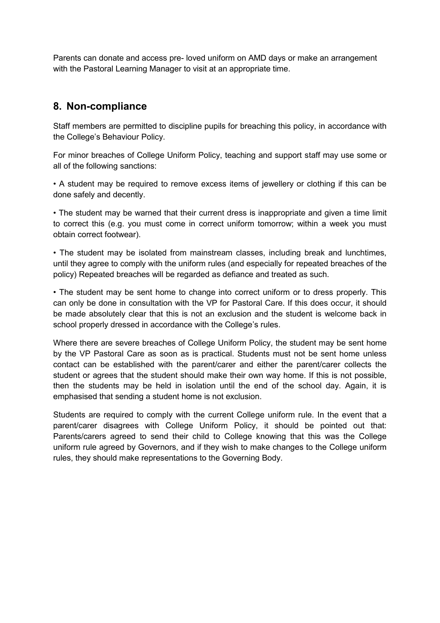Parents can donate and access pre- loved uniform on AMD days or make an arrangement with the Pastoral Learning Manager to visit at an appropriate time.

## **8. Non-compliance**

Staff members are permitted to discipline pupils for breaching this policy, in accordance with the College's Behaviour Policy.

For minor breaches of College Uniform Policy, teaching and support staff may use some or all of the following sanctions:

• A student may be required to remove excess items of jewellery or clothing if this can be done safely and decently.

• The student may be warned that their current dress is inappropriate and given a time limit to correct this (e.g. you must come in correct uniform tomorrow; within a week you must obtain correct footwear).

• The student may be isolated from mainstream classes, including break and lunchtimes, until they agree to comply with the uniform rules (and especially for repeated breaches of the policy) Repeated breaches will be regarded as defiance and treated as such.

• The student may be sent home to change into correct uniform or to dress properly. This can only be done in consultation with the VP for Pastoral Care. If this does occur, it should be made absolutely clear that this is not an exclusion and the student is welcome back in school properly dressed in accordance with the College's rules.

Where there are severe breaches of College Uniform Policy, the student may be sent home by the VP Pastoral Care as soon as is practical. Students must not be sent home unless contact can be established with the parent/carer and either the parent/carer collects the student or agrees that the student should make their own way home. If this is not possible, then the students may be held in isolation until the end of the school day. Again, it is emphasised that sending a student home is not exclusion.

Students are required to comply with the current College uniform rule. In the event that a parent/carer disagrees with College Uniform Policy, it should be pointed out that: Parents/carers agreed to send their child to College knowing that this was the College uniform rule agreed by Governors, and if they wish to make changes to the College uniform rules, they should make representations to the Governing Body.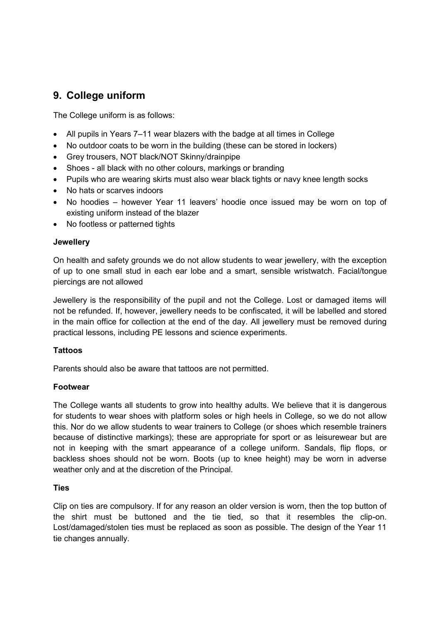## **9. College uniform**

The College uniform is as follows:

- All pupils in Years 7–11 wear blazers with the badge at all times in College
- No outdoor coats to be worn in the building (these can be stored in lockers)
- Grey trousers, NOT black/NOT Skinny/drainpipe
- Shoes all black with no other colours, markings or branding
- Pupils who are wearing skirts must also wear black tights or navy knee length socks
- No hats or scarves indoors
- No hoodies however Year 11 leavers' hoodie once issued may be worn on top of existing uniform instead of the blazer
- No footless or patterned tights

#### **Jewellery**

On health and safety grounds we do not allow students to wear jewellery, with the exception of up to one small stud in each ear lobe and a smart, sensible wristwatch. Facial/tongue piercings are not allowed

Jewellery is the responsibility of the pupil and not the College. Lost or damaged items will not be refunded. If, however, jewellery needs to be confiscated, it will be labelled and stored in the main office for collection at the end of the day. All jewellery must be removed during practical lessons, including PE lessons and science experiments.

#### **Tattoos**

Parents should also be aware that tattoos are not permitted.

#### **Footwear**

The College wants all students to grow into healthy adults. We believe that it is dangerous for students to wear shoes with platform soles or high heels in College, so we do not allow this. Nor do we allow students to wear trainers to College (or shoes which resemble trainers because of distinctive markings); these are appropriate for sport or as leisurewear but are not in keeping with the smart appearance of a college uniform. Sandals, flip flops, or backless shoes should not be worn. Boots (up to knee height) may be worn in adverse weather only and at the discretion of the Principal.

#### **Ties**

Clip on ties are compulsory. If for any reason an older version is worn, then the top button of the shirt must be buttoned and the tie tied, so that it resembles the clip-on. Lost/damaged/stolen ties must be replaced as soon as possible. The design of the Year 11 tie changes annually.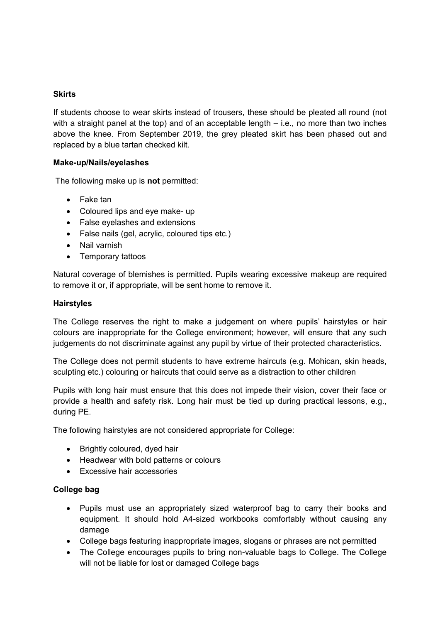#### **Skirts**

If students choose to wear skirts instead of trousers, these should be pleated all round (not with a straight panel at the top) and of an acceptable length – i.e., no more than two inches above the knee. From September 2019, the grey pleated skirt has been phased out and replaced by a blue tartan checked kilt.

#### **Make-up/Nails/eyelashes**

The following make up is **not** permitted:

- Fake tan
- Coloured lips and eye make- up
- False eyelashes and extensions
- False nails (gel, acrylic, coloured tips etc.)
- Nail varnish
- Temporary tattoos

Natural coverage of blemishes is permitted. Pupils wearing excessive makeup are required to remove it or, if appropriate, will be sent home to remove it.

#### **Hairstyles**

The College reserves the right to make a judgement on where pupils' hairstyles or hair colours are inappropriate for the College environment; however, will ensure that any such judgements do not discriminate against any pupil by virtue of their protected characteristics.

The College does not permit students to have extreme haircuts (e.g. Mohican, skin heads, sculpting etc.) colouring or haircuts that could serve as a distraction to other children

Pupils with long hair must ensure that this does not impede their vision, cover their face or provide a health and safety risk. Long hair must be tied up during practical lessons, e.g., during PE.

The following hairstyles are not considered appropriate for College:

- Brightly coloured, dyed hair
- Headwear with bold patterns or colours
- Excessive hair accessories

#### **College bag**

- Pupils must use an appropriately sized waterproof bag to carry their books and equipment. It should hold A4-sized workbooks comfortably without causing any damage
- College bags featuring inappropriate images, slogans or phrases are not permitted
- The College encourages pupils to bring non-valuable bags to College. The College will not be liable for lost or damaged College bags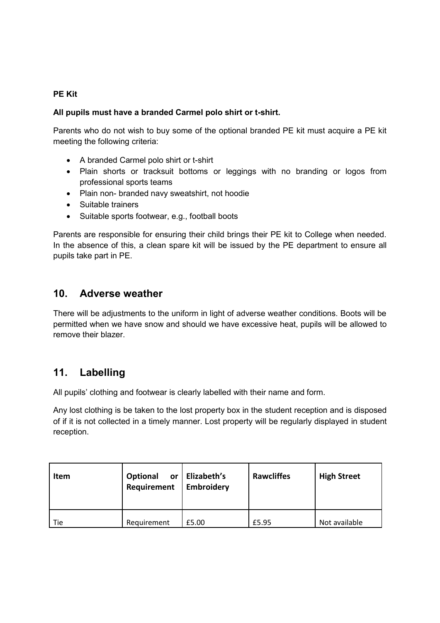#### **PE Kit**

#### **All pupils must have a branded Carmel polo shirt or t-shirt.**

Parents who do not wish to buy some of the optional branded PE kit must acquire a PE kit meeting the following criteria:

- A branded Carmel polo shirt or t-shirt
- Plain shorts or tracksuit bottoms or leggings with no branding or logos from professional sports teams
- Plain non- branded navy sweatshirt, not hoodie
- Suitable trainers
- Suitable sports footwear, e.g., football boots

Parents are responsible for ensuring their child brings their PE kit to College when needed. In the absence of this, a clean spare kit will be issued by the PE department to ensure all pupils take part in PE.

#### **10. Adverse weather**

There will be adjustments to the uniform in light of adverse weather conditions. Boots will be permitted when we have snow and should we have excessive heat, pupils will be allowed to remove their blazer.

### **11. Labelling**

All pupils' clothing and footwear is clearly labelled with their name and form.

Any lost clothing is be taken to the lost property box in the student reception and is disposed of if it is not collected in a timely manner. Lost property will be regularly displayed in student reception.

| Item | Optional<br>or<br>Requirement | Elizabeth's<br>Embroidery | <b>Rawcliffes</b> | <b>High Street</b> |
|------|-------------------------------|---------------------------|-------------------|--------------------|
| Tie  | Requirement                   | £5.00                     | £5.95             | Not available      |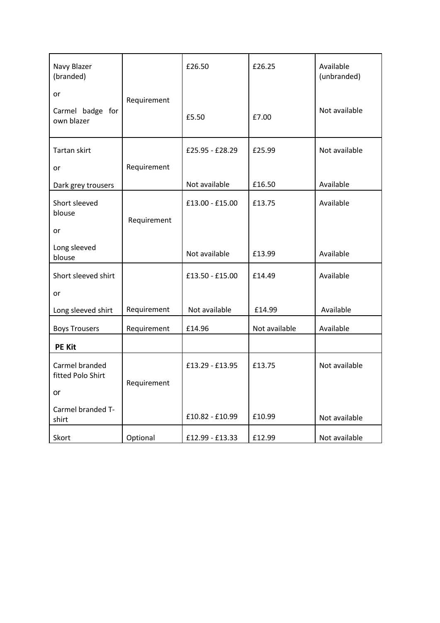| Navy Blazer<br>(branded)            |             | £26.50          | £26.25        | Available<br>(unbranded) |
|-------------------------------------|-------------|-----------------|---------------|--------------------------|
| or                                  | Requirement |                 |               |                          |
| Carmel badge for<br>own blazer      |             | £5.50           | £7.00         | Not available            |
| Tartan skirt                        |             | £25.95 - £28.29 | £25.99        | Not available            |
| or                                  | Requirement |                 |               |                          |
| Dark grey trousers                  |             | Not available   | £16.50        | Available                |
| Short sleeved<br>blouse             | Requirement | £13.00 - £15.00 | £13.75        | Available                |
| or                                  |             |                 |               |                          |
| Long sleeved<br>blouse              |             | Not available   | £13.99        | Available                |
| Short sleeved shirt                 |             | £13.50 - £15.00 | £14.49        | Available                |
| or                                  |             |                 |               |                          |
| Long sleeved shirt                  | Requirement | Not available   | £14.99        | Available                |
| <b>Boys Trousers</b>                | Requirement | £14.96          | Not available | Available                |
| <b>PE Kit</b>                       |             |                 |               |                          |
| Carmel branded<br>fitted Polo Shirt | Requirement | £13.29 - £13.95 | £13.75        | Not available            |
| or                                  |             |                 |               |                          |
| Carmel branded T-<br>shirt          |             | £10.82 - £10.99 | £10.99        | Not available            |
| Skort                               | Optional    | £12.99 - £13.33 | £12.99        | Not available            |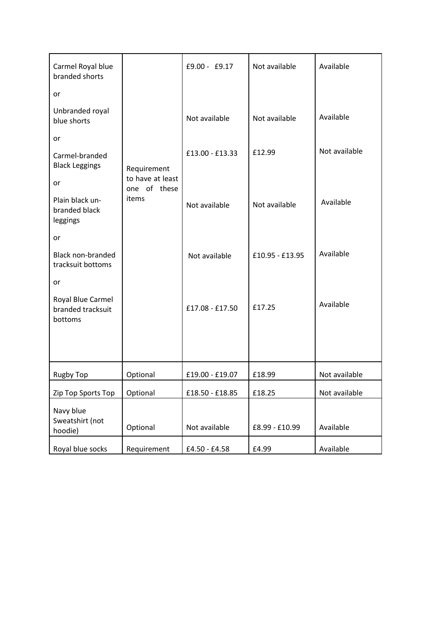| Carmel Royal blue<br>branded shorts               |                                  | £9.00 - £9.17   | Not available   | Available     |
|---------------------------------------------------|----------------------------------|-----------------|-----------------|---------------|
| or                                                |                                  |                 |                 |               |
| Unbranded royal<br>blue shorts                    |                                  | Not available   | Not available   | Available     |
| or                                                |                                  |                 |                 |               |
| Carmel-branded<br><b>Black Leggings</b>           | Requirement                      | £13.00 - £13.33 | £12.99          | Not available |
| or                                                | to have at least<br>one of these |                 |                 |               |
| Plain black un-<br>branded black<br>leggings      | items                            | Not available   | Not available   | Available     |
| or                                                |                                  |                 |                 |               |
| <b>Black non-branded</b><br>tracksuit bottoms     |                                  | Not available   | £10.95 - £13.95 | Available     |
| or                                                |                                  |                 |                 |               |
| Royal Blue Carmel<br>branded tracksuit<br>bottoms |                                  | £17.08 - £17.50 | £17.25          | Available     |
|                                                   |                                  |                 |                 |               |
| <b>Rugby Top</b>                                  | Optional                         | £19.00 - £19.07 | £18.99          | Not available |
| Zip Top Sports Top                                | Optional                         | £18.50 - £18.85 | £18.25          | Not available |
| Navy blue<br>Sweatshirt (not<br>hoodie)           | Optional                         | Not available   | £8.99 - £10.99  | Available     |
| Royal blue socks                                  | Requirement                      | £4.50 - £4.58   | £4.99           | Available     |